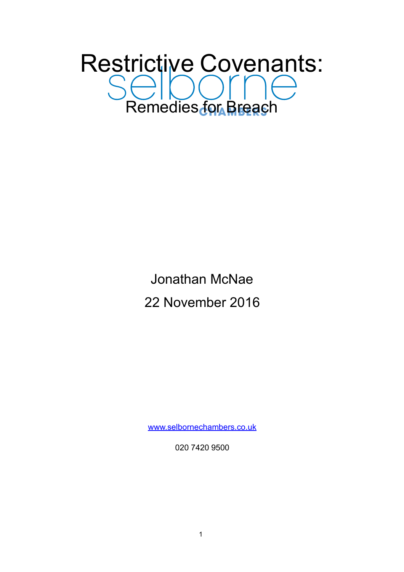# Restrictive Covenants: Selbonne

## Jonathan McNae 22 November 2016

[www.selbornechambers.co.uk](http://www.selbornechambers.co.uk)

020 7420 9500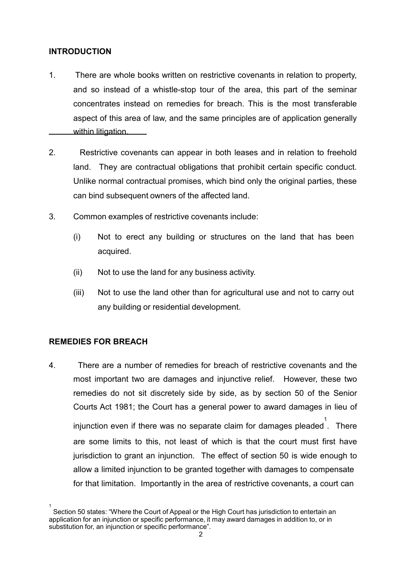#### **INTRODUCTION**

- 1. There are whole books written on restrictive covenants in relation to property, and so instead of a whistle-stop tour of the area, this part of the seminar concentrates instead on remedies for breach. This is the most transferable aspect of this area of law, and the same principles are of application generally within litigation.
- 2. Restrictive covenants can appear in both leases and in relation to freehold land. They are contractual obligations that prohibit certain specific conduct. Unlike normal contractual promises, which bind only the original parties, these can bind subsequent owners of the affected land.
- 3. Common examples of restrictive covenants include:
	- (i) Not to erect any building or structures on the land that has been acquired.
	- (ii) Not to use the land for any business activity.
	- (iii) Not to use the land other than for agricultural use and not to carry out any building or residential development.

#### **REMEDIES FOR BREACH**

4. There are a number of remedies for breach of restrictive covenants and the most important two are damages and injunctive relief. However, these two remedies do not sit discretely side by side, as by section 50 of the Senior Courts Act 1981; the Court has a general power to award damages in lieu of injunction even if there was no separate claim for damages pleaded . There 1 are some limits to this, not least of which is that the court must first have

jurisdiction to grant an injunction. The effect of section 50 is wide enough to allow a limited injunction to be granted together with damages to compensate for that limitation. Importantly in the area of restrictive covenants, a court can

<sup>1</sup> Section 50 states: "Where the Court of Appeal or the High Court has jurisdiction to entertain an application for an injunction or specific performance, it may award damages in addition to, or in substitution for, an injunction or specific performance".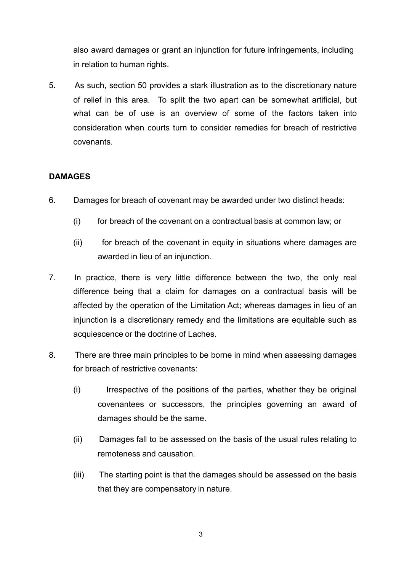also award damages or grant an injunction for future infringements, including in relation to human rights.

5. As such, section 50 provides a stark illustration as to the discretionary nature of relief in this area. To split the two apart can be somewhat artificial, but what can be of use is an overview of some of the factors taken into consideration when courts turn to consider remedies for breach of restrictive covenants.

#### **DAMAGES**

- 6. Damages for breach of covenant may be awarded under two distinct heads:
	- (i) for breach of the covenant on a contractual basis at common law; or
	- (ii) for breach of the covenant in equity in situations where damages are awarded in lieu of an injunction.
- 7. In practice, there is very little difference between the two, the only real difference being that a claim for damages on a contractual basis will be affected by the operation of the Limitation Act; whereas damages in lieu of an injunction is a discretionary remedy and the limitations are equitable such as acquiescence or the doctrine of Laches.
- 8. There are three main principles to be borne in mind when assessing damages for breach of restrictive covenants:
	- (i) Irrespective of the positions of the parties, whether they be original covenantees or successors, the principles governing an award of damages should be the same.
	- (ii) Damages fall to be assessed on the basis of the usual rules relating to remoteness and causation.
	- (iii) The starting point is that the damages should be assessed on the basis that they are compensatory in nature.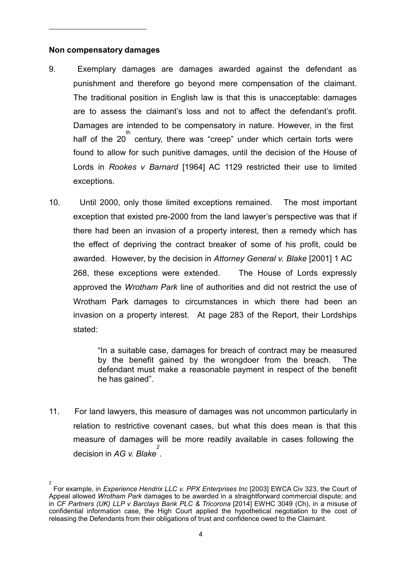#### **Non compensatory damages**

- 9. Exemplary damages are damages awarded against the defendant as punishment and therefore go beyond mere compensation of the claimant. The traditional position in English law is that this is unacceptable: damages are to assess the claimant's loss and not to affect the defendant's profit. Damages are intended to be compensatory in nature. However, in the first half of the 20<sup>th</sup> century, there was "creep" under which certain torts were found to allow for such punitive damages, until the decision of the House of Lords in *Rookes v Barnard* [1964] AC 1129 restricted their use to limited exceptions.
- 10. Until 2000, only those limited exceptions remained. The most important exception that existed pre-2000 from the land lawyer's perspective was that if there had been an invasion of a property interest, then a remedy which has the effect of depriving the contract breaker of some of his profit, could be awarded. However, by the decision in *Attorney General v. Blake* [2001] 1 AC 268, these exceptions were extended. The House of Lords expressly approved the *Wrotham Park* line of authorities and did not restrict the use of Wrotham Park damages to circumstances in which there had been an invasion on a property interest. At page 283 of the Report, their Lordships stated:

"In a suitable case, damages for breach of contract may be measured by the benefit gained by the wrongdoer from the breach. The defendant must make a reasonable payment in respect of the benefit he has gained".

11. For land lawyers, this measure of damages was not uncommon particularly in relation to restrictive covenant cases, but what this does mean is that this measure of damages will be more readily available in cases following the decision in *AG v. Blake 2* .

<sup>2</sup> For example, in *Experience Hendrix LLC v. PPX Enterprises Inc* [2003] EWCA Civ 323, the Court of Appeal allowed *Wrotham Park* damages to be awarded in a straightforward commercial dispute; and in *CF Partners (UK) LLP v Barclays Bank PLC & Tricorona* [2014] EWHC 3049 (Ch), in a misuse of confidential information case, the High Court applied the hypothetical negotiation to the cost of releasing the Defendants from their obligations of trust and confidence owed to the Claimant.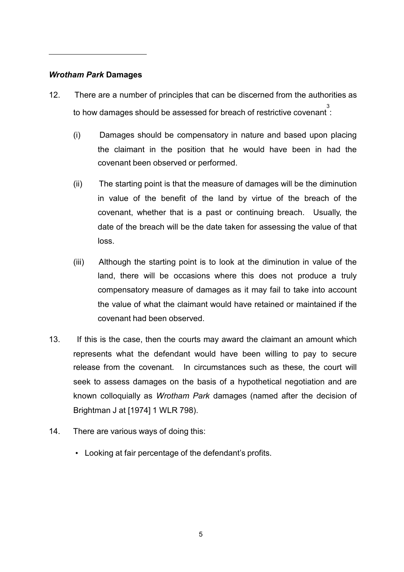#### *Wrotham Park* **Damages**

- 12. There are a number of principles that can be discerned from the authorities as to how damages should be assessed for breach of restrictive covenant 3 :
	- (i) Damages should be compensatory in nature and based upon placing the claimant in the position that he would have been in had the covenant been observed or performed.
	- (ii) The starting point is that the measure of damages will be the diminution in value of the benefit of the land by virtue of the breach of the covenant, whether that is a past or continuing breach. Usually, the date of the breach will be the date taken for assessing the value of that loss.
	- (iii) Although the starting point is to look at the diminution in value of the land, there will be occasions where this does not produce a truly compensatory measure of damages as it may fail to take into account the value of what the claimant would have retained or maintained if the covenant had been observed.
- 13. If this is the case, then the courts may award the claimant an amount which represents what the defendant would have been willing to pay to secure release from the covenant. In circumstances such as these, the court will seek to assess damages on the basis of a hypothetical negotiation and are known colloquially as *Wrotham Park* damages (named after the decision of Brightman J at [1974] 1 WLR 798).
- 14. There are various ways of doing this:
	- Looking at fair percentage of the defendant's profits.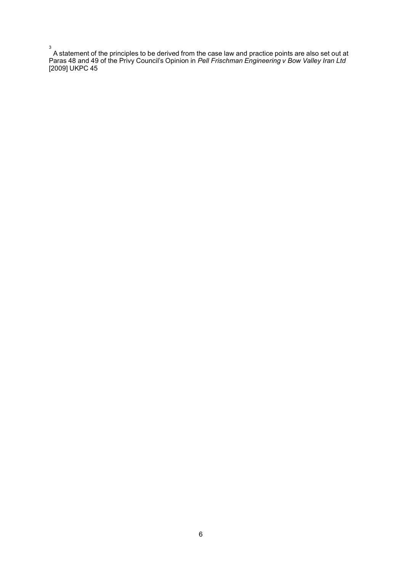3 A statement of the principles to be derived from the case law and practice points are also set out at Paras 48 and 49 of the Privy Council's Opinion in *Pell Frischman Engineering v Bow Valley Iran Ltd*  [2009] UKPC 45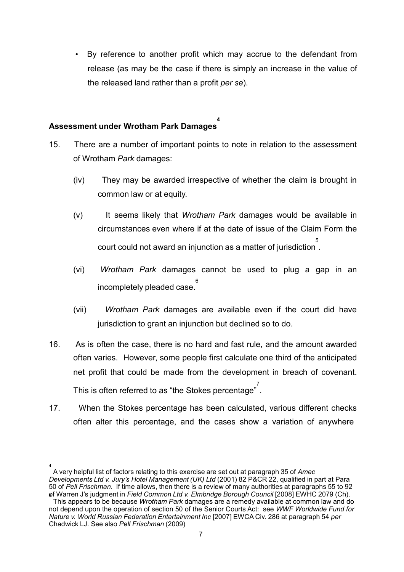By reference to another profit which may accrue to the defendant from release (as may be the case if there is simply an increase in the value of the released land rather than a profit *per se*).

### **Assessment under Wrotham Park Damages 4**

- 15. There are a number of important points to note in relation to the assessment of Wrotham *Park* damages:
	- (iv) They may be awarded irrespective of whether the claim is brought in common law or at equity.
	- (v) It seems likely that *Wrotham Park* damages would be available in circumstances even where if at the date of issue of the Claim Form the court could not award an injunction as a matter of jurisdiction 5 .
	- (vi) *Wrotham Park* damages cannot be used to plug a gap in an incompletely pleaded case. 6
	- (vii) *Wrotham Park* damages are available even if the court did have jurisdiction to grant an injunction but declined so to do.
- 16. As is often the case, there is no hard and fast rule, and the amount awarded often varies. However, some people first calculate one third of the anticipated net profit that could be made from the development in breach of covenant. This is often referred to as "the Stokes percentage" .
- 17. When the Stokes percentage has been calculated, various different checks often alter this percentage, and the cases show a variation of anywhere

<sup>4</sup> A very helpful list of factors relating to this exercise are set out at paragraph 35 of *Amec Developments Ltd v. Jury's Hotel Management (UK) Ltd* (2001) 82 P&CR 22, qualified in part at Para 50 of *Pell Frischman*. If time allows, then there is a review of many authorities at paragraphs 55 to 92 of <sup>5</sup> Warren J's judgment in *Field Common Ltd v. Elmbridge Borough Council* [2008] EWHC 2079 (Ch). This appears to be because *Wrotham Park* damages are a remedy available at common law and do

not depend upon the operation of section 50 of the Senior Courts Act: see *WWF Worldwide Fund for Nature v. World Russian Federation Entertainment Inc* [2007] EWCA Civ. 286 at paragraph 54 *per* Chadwick LJ. See also *Pell Frischman* (2009)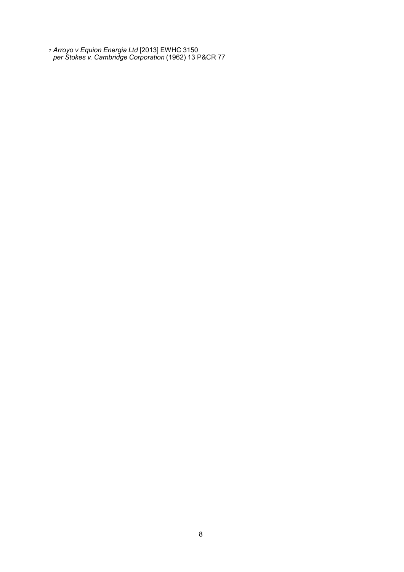<sup>7</sup> *Arroyo v Equion Energia Ltd* [2013] EWHC 3150 *per Stokes v. Cambridge Corporation* (1962) 13 P&CR 77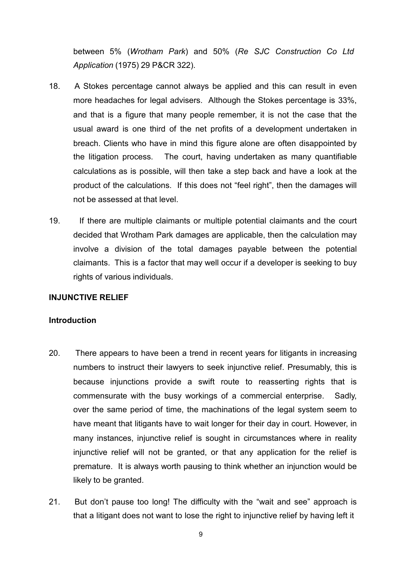between 5% (*Wrotham Park*) and 50% (*Re SJC Construction Co Ltd Application* (1975) 29 P&CR 322).

- 18. A Stokes percentage cannot always be applied and this can result in even more headaches for legal advisers. Although the Stokes percentage is 33%, and that is a figure that many people remember, it is not the case that the usual award is one third of the net profits of a development undertaken in breach. Clients who have in mind this figure alone are often disappointed by the litigation process. The court, having undertaken as many quantifiable calculations as is possible, will then take a step back and have a look at the product of the calculations. If this does not "feel right", then the damages will not be assessed at that level.
- 19. If there are multiple claimants or multiple potential claimants and the court decided that Wrotham Park damages are applicable, then the calculation may involve a division of the total damages payable between the potential claimants. This is a factor that may well occur if a developer is seeking to buy rights of various individuals.

#### **INJUNCTIVE RELIEF**

#### **Introduction**

- 20. There appears to have been a trend in recent years for litigants in increasing numbers to instruct their lawyers to seek injunctive relief. Presumably, this is because injunctions provide a swift route to reasserting rights that is commensurate with the busy workings of a commercial enterprise. Sadly, over the same period of time, the machinations of the legal system seem to have meant that litigants have to wait longer for their day in court. However, in many instances, injunctive relief is sought in circumstances where in reality injunctive relief will not be granted, or that any application for the relief is premature. It is always worth pausing to think whether an injunction would be likely to be granted.
- 21. But don't pause too long! The difficulty with the "wait and see" approach is that a litigant does not want to lose the right to injunctive relief by having left it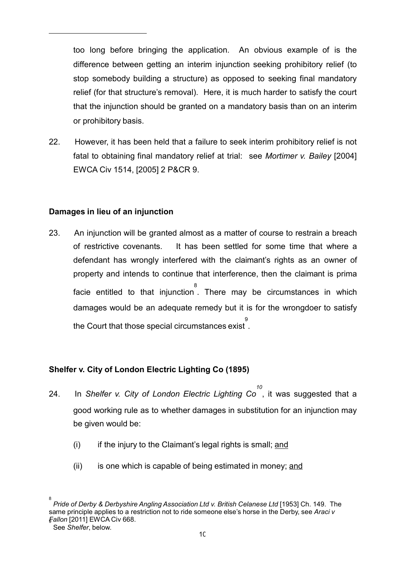too long before bringing the application. An obvious example of is the difference between getting an interim injunction seeking prohibitory relief (to stop somebody building a structure) as opposed to seeking final mandatory relief (for that structure's removal). Here, it is much harder to satisfy the court that the injunction should be granted on a mandatory basis than on an interim or prohibitory basis.

22. However, it has been held that a failure to seek interim prohibitory relief is not fatal to obtaining final mandatory relief at trial: see *Mortimer v. Bailey* [2004] EWCA Civ 1514, [2005] 2 P&CR 9.

#### **Damages in lieu of an injunction**

23. An injunction will be granted almost as a matter of course to restrain a breach of restrictive covenants. It has been settled for some time that where a defendant has wrongly interfered with the claimant's rights as an owner of property and intends to continue that interference, then the claimant is prima facie entitled to that injunction . There may be circumstances in which 8 damages would be an adequate remedy but it is for the wrongdoer to satisfy the Court that those special circumstances exist . 9

#### **Shelfer v. City of London Electric Lighting Co (1895)**

- 24. In *Shelfer v. City of London Electric Lighting Co 10* , it was suggested that a good working rule as to whether damages in substitution for an injunction may be given would be:
	- $(i)$  if the injury to the Claimant's legal rights is small; and
	- (ii) is one which is capable of being estimated in money; and

<sup>8</sup> *Pride of Derby & Derbyshire Angling Association Ltd v. British Celanese Ltd* [1953] Ch. 149. The same principle applies to a restriction not to ride someone else's horse in the Derby, see *Araci v Fallon* [2011] EWCA Civ 668. <sup>9</sup> See *Shelfer*, below.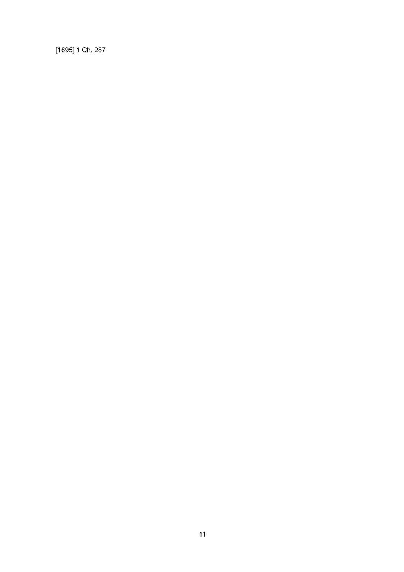[1895] 1 Ch. 287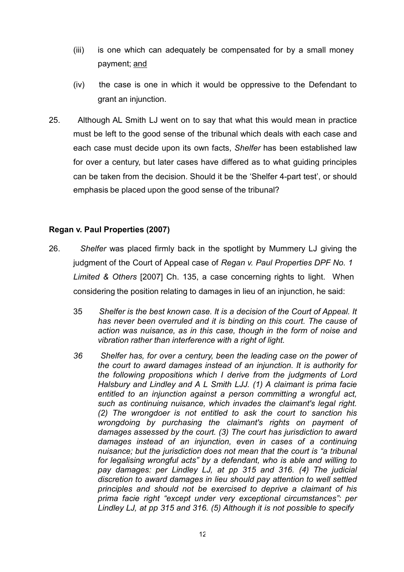- (iii) is one which can adequately be compensated for by a small money payment; and
- (iv) the case is one in which it would be oppressive to the Defendant to grant an injunction.
- 25. Although AL Smith LJ went on to say that what this would mean in practice must be left to the good sense of the tribunal which deals with each case and each case must decide upon its own facts, *Shelfer* has been established law for over a century, but later cases have differed as to what guiding principles can be taken from the decision. Should it be the 'Shelfer 4-part test', or should emphasis be placed upon the good sense of the tribunal?

#### **Regan v. Paul Properties (2007)**

- 26. *Shelfer* was placed firmly back in the spotlight by Mummery LJ giving the judgment of the Court of Appeal case of *Regan v. Paul Properties DPF No. 1 Limited & Others* [2007] Ch. 135, a case concerning rights to light. When considering the position relating to damages in lieu of an injunction, he said:
	- 35 *Shelfer is the best known case. It is a decision of the Court of Appeal. It has never been overruled and it is binding on this court. The cause of action was nuisance, as in this case, though in the form of noise and vibration rather than interference with a right of light.*
	- *36 Shelfer has, for over a century, been the leading case on the power of the court to award damages instead of an injunction. It is authority for the following propositions which I derive from the judgments of Lord Halsbury and Lindley and A L Smith LJJ. (1) A claimant is prima facie entitled to an injunction against a person committing a wrongful act, such as continuing nuisance, which invades the claimant's legal right. (2) The wrongdoer is not entitled to ask the court to sanction his wrongdoing by purchasing the claimant's rights on payment of damages assessed by the court. (3) The court has jurisdiction to award damages instead of an injunction, even in cases of a continuing nuisance; but the jurisdiction does not mean that the court is "a tribunal for legalising wrongful acts" by a defendant, who is able and willing to pay damages: per Lindley LJ, at pp 315 and 316. (4) The judicial discretion to award damages in lieu should pay attention to well settled principles and should not be exercised to deprive a claimant of his prima facie right "except under very exceptional circumstances": per Lindley LJ, at pp 315 and 316. (5) Although it is not possible to specify*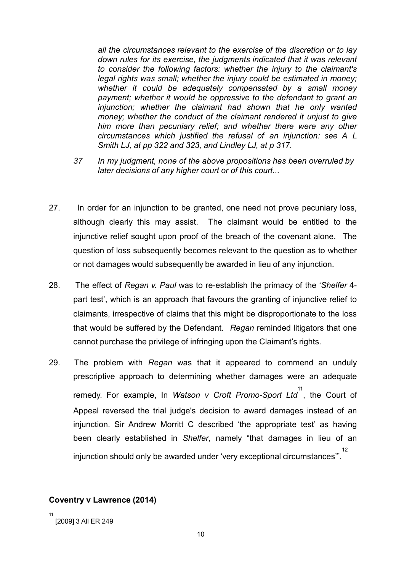*all the circumstances relevant to the exercise of the discretion or to lay down rules for its exercise, the judgments indicated that it was relevant to consider the following factors: whether the injury to the claimant's legal rights was small; whether the injury could be estimated in money; whether it could be adequately compensated by a small money payment; whether it would be oppressive to the defendant to grant an injunction; whether the claimant had shown that he only wanted money; whether the conduct of the claimant rendered it unjust to give him more than pecuniary relief; and whether there were any other circumstances which justified the refusal of an injunction: see A L Smith LJ, at pp 322 and 323, and Lindley LJ, at p 317.*

- *37 In my judgment, none of the above propositions has been overruled by later decisions of any higher court or of this court...*
- 27. In order for an injunction to be granted, one need not prove pecuniary loss, although clearly this may assist. The claimant would be entitled to the injunctive relief sought upon proof of the breach of the covenant alone. The question of loss subsequently becomes relevant to the question as to whether or not damages would subsequently be awarded in lieu of any injunction.
- 28. The effect of *Regan v. Paul* was to re-establish the primacy of the '*Shelfer* 4 part test', which is an approach that favours the granting of injunctive relief to claimants, irrespective of claims that this might be disproportionate to the loss that would be suffered by the Defendant. *Regan* reminded litigators that one cannot purchase the privilege of infringing upon the Claimant's rights.
- 29. The problem with *Regan* was that it appeared to commend an unduly prescriptive approach to determining whether damages were an adequate remedy. For example, In *Watson v Croft Promo-Sport Ltd* , the Court of 11 Appeal reversed the trial judge's decision to award damages instead of an injunction. Sir Andrew Morritt C described 'the appropriate test' as having been clearly established in *Shelfer*, namely "that damages in lieu of an injunction should only be awarded under 'very exceptional circumstances'". 12

#### **Coventry v Lawrence (2014)**

<sup>11</sup> [2009] 3 All ER 249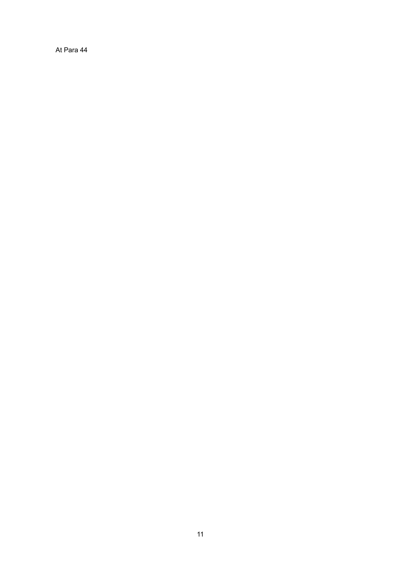At Para 44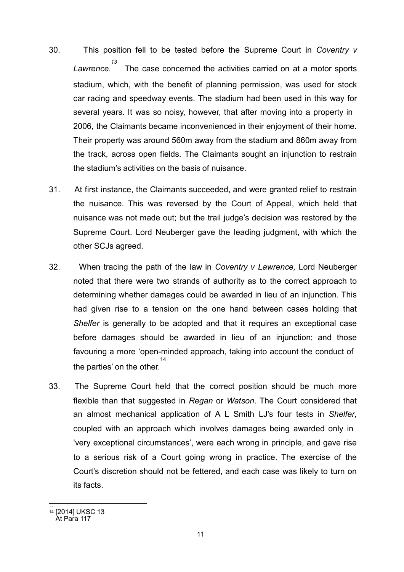- 30. This position fell to be tested before the Supreme Court in *Coventry v Lawrence. 13*  The case concerned the activities carried on at a motor sports stadium, which, with the benefit of planning permission, was used for stock car racing and speedway events. The stadium had been used in this way for several years. It was so noisy, however, that after moving into a property in 2006, the Claimants became inconvenienced in their enjoyment of their home. Their property was around 560m away from the stadium and 860m away from the track, across open fields. The Claimants sought an injunction to restrain the stadium's activities on the basis of nuisance.
- 31. At first instance, the Claimants succeeded, and were granted relief to restrain the nuisance. This was reversed by the Court of Appeal, which held that nuisance was not made out; but the trail judge's decision was restored by the Supreme Court. Lord Neuberger gave the leading judgment, with which the other SCJs agreed.
- 32. When tracing the path of the law in *Coventry v Lawrence,* Lord Neuberger noted that there were two strands of authority as to the correct approach to determining whether damages could be awarded in lieu of an injunction. This had given rise to a tension on the one hand between cases holding that *Shelfer* is generally to be adopted and that it requires an exceptional case before damages should be awarded in lieu of an injunction; and those favouring a more 'open-minded approach, taking into account the conduct of the parties' on the other. 14
- 33. The Supreme Court held that the correct position should be much more flexible than that suggested in *Regan* or *Watson*. The Court considered that an almost mechanical application of A L Smith LJ's four tests in *Shelfer*, coupled with an approach which involves damages being awarded only in 'very exceptional circumstances', were each wrong in principle, and gave rise to a serious risk of a Court going wrong in practice. The exercise of the Court's discretion should not be fettered, and each case was likely to turn on its facts.

<sup>&</sup>lt;u>..</u> <sup>14</sup> [2014] UKSC 13

At Para 117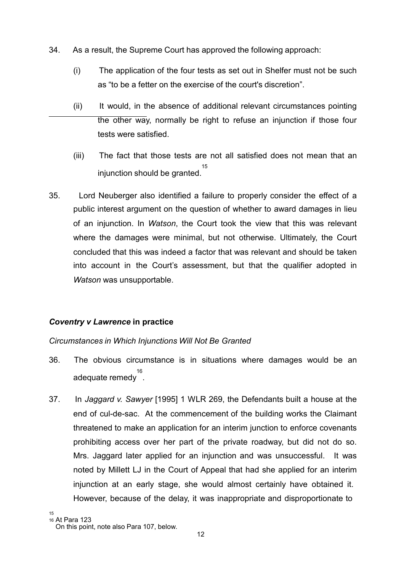- 34. As a result, the Supreme Court has approved the following approach:
	- (i) The application of the four tests as set out in Shelfer must not be such as "to be a fetter on the exercise of the court's discretion".
	- (ii) It would, in the absence of additional relevant circumstances pointing the other way, normally be right to refuse an injunction if those four tests were satisfied.
	- (iii) The fact that those tests are not all satisfied does not mean that an injunction should be granted. 15
- 35. Lord Neuberger also identified a failure to properly consider the effect of a public interest argument on the question of whether to award damages in lieu of an injunction. In *Watson*, the Court took the view that this was relevant where the damages were minimal, but not otherwise. Ultimately, the Court concluded that this was indeed a factor that was relevant and should be taken into account in the Court's assessment, but that the qualifier adopted in *Watson* was unsupportable.

#### *Coventry v Lawrence* **in practice**

#### *Circumstances in Which Injunctions Will Not Be Granted*

- 36. The obvious circumstance is in situations where damages would be an <sup>16</sup><br>. adequate remedy
- 37. In *Jaggard v. Sawyer* [1995] 1 WLR 269, the Defendants built a house at the end of cul-de-sac. At the commencement of the building works the Claimant threatened to make an application for an interim junction to enforce covenants prohibiting access over her part of the private roadway, but did not do so. Mrs. Jaggard later applied for an injunction and was unsuccessful. It was noted by Millett LJ in the Court of Appeal that had she applied for an interim injunction at an early stage, she would almost certainly have obtained it. However, because of the delay, it was inappropriate and disproportionate to

<sup>15</sup>

<sup>16</sup> At Para 123 On this point, note also Para 107, below.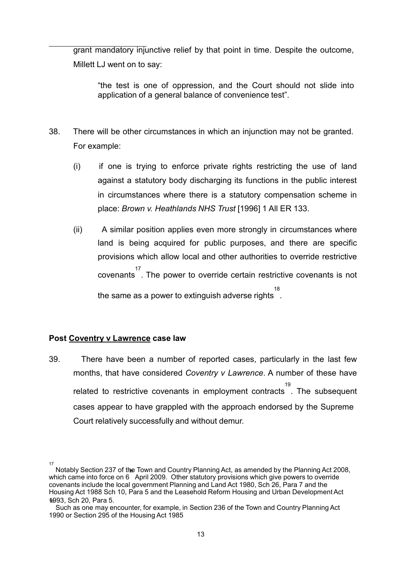grant mandatory injunctive relief by that point in time. Despite the outcome, Millett LJ went on to say:

"the test is one of oppression, and the Court should not slide into application of a general balance of convenience test".

- 38. There will be other circumstances in which an injunction may not be granted. For example:
	- (i) if one is trying to enforce private rights restricting the use of land against a statutory body discharging its functions in the public interest in circumstances where there is a statutory compensation scheme in place: *Brown v. Heathlands NHS Trust* [1996] 1 All ER 133.
	- (ii) A similar position applies even more strongly in circumstances where land is being acquired for public purposes, and there are specific provisions which allow local and other authorities to override restrictive covenants 17 . The power to override certain restrictive covenants is not the same as a power to extinguish adverse rights 18 .

#### **Post Coventry v Lawrence case law**

39. There have been a number of reported cases, particularly in the last few months, that have considered *Coventry v Lawrence*. A number of these have related to restrictive covenants in employment contracts . The subsequent 19 cases appear to have grappled with the approach endorsed by the Supreme Court relatively successfully and without demur.

<sup>17</sup> Notably Section 237 of the Town and Country Planning Act, as amended by the Planning Act 2008, which came into force on 6 April 2009. Other statutory provisions which give powers to override covenants include the local government Planning and Land Act 1980, Sch 26, Para 7 and the Housing Act 1988 Sch 10, Para 5 and the Leasehold Reform Housing and Urban DevelopmentAct 1998 3, Sch 20, Para 5.

Such as one may encounter, for example, in Section 236 of the Town and Country Planning Act 1990 or Section 295 of the Housing Act 1985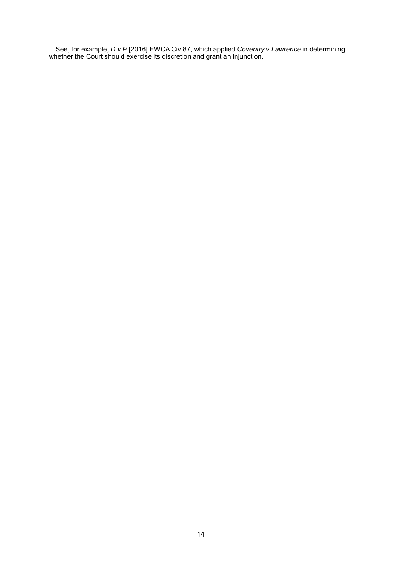See, for example, *D v P* [2016] EWCA Civ 87, which applied *Coventry v Lawrence* in determining whether the Court should exercise its discretion and grant an injunction.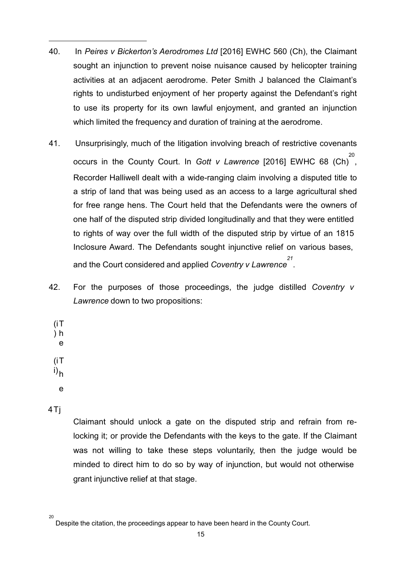- 40. In *Peires v Bickerton's Aerodromes Ltd* [2016] EWHC 560 (Ch), the Claimant sought an injunction to prevent noise nuisance caused by helicopter training activities at an adjacent aerodrome. Peter Smith J balanced the Claimant's rights to undisturbed enjoyment of her property against the Defendant's right to use its property for its own lawful enjoyment, and granted an injunction which limited the frequency and duration of training at the aerodrome.
- 41. Unsurprisingly, much of the litigation involving breach of restrictive covenants occurs in the County Court. In *Gott v Lawrence* [2016] EWHC 68 (Ch) 20 , Recorder Halliwell dealt with a wide-ranging claim involving a disputed title to a strip of land that was being used as an access to a large agricultural shed for free range hens. The Court held that the Defendants were the owners of one half of the disputed strip divided longitudinally and that they were entitled to rights of way over the full width of the disputed strip by virtue of an 1815 Inclosure Award. The Defendants sought injunctive relief on various bases, and the Court considered and applied *Coventry v Lawrence 21* .
- 42. For the purposes of those proceedings, the judge distilled *Coventry v Lawrence* down to two propositions:
	- (i T ) h e (i T i) h e

4Tj

Claimant should unlock a gate on the disputed strip and refrain from relocking it; or provide the Defendants with the keys to the gate. If the Claimant was not willing to take these steps voluntarily, then the judge would be minded to direct him to do so by way of injunction, but would not otherwise grant injunctive relief at that stage.

<sup>20</sup> Despite the citation, the proceedings appear to have been heard in the County Court.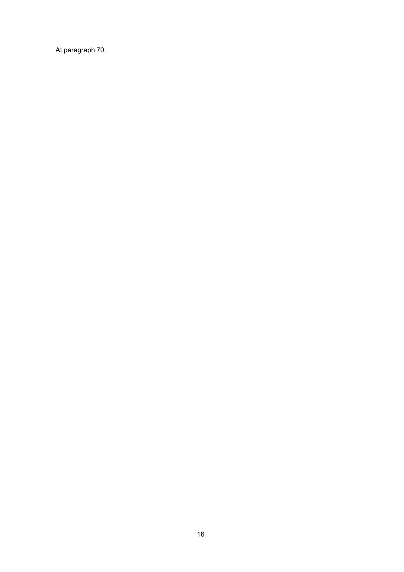At paragraph 70.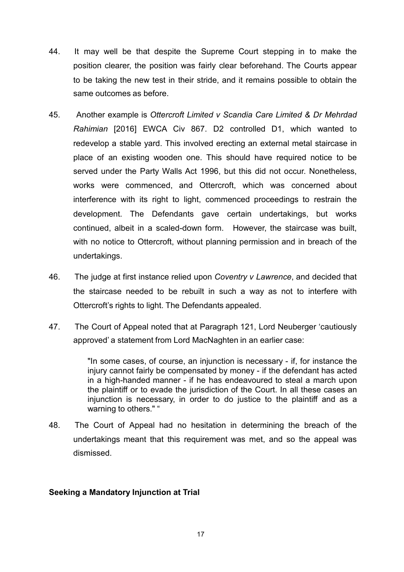- 44. It may well be that despite the Supreme Court stepping in to make the position clearer, the position was fairly clear beforehand. The Courts appear to be taking the new test in their stride, and it remains possible to obtain the same outcomes as before.
- 45. Another example is *Ottercroft Limited v Scandia Care Limited & Dr Mehrdad Rahimian* [2016] EWCA Civ 867. D2 controlled D1, which wanted to redevelop a stable yard. This involved erecting an external metal staircase in place of an existing wooden one. This should have required notice to be served under the Party Walls Act 1996, but this did not occur. Nonetheless, works were commenced, and Ottercroft, which was concerned about interference with its right to light, commenced proceedings to restrain the development. The Defendants gave certain undertakings, but works continued, albeit in a scaled-down form. However, the staircase was built, with no notice to Ottercroft, without planning permission and in breach of the undertakings.
- 46. The judge at first instance relied upon *Coventry v Lawrence*, and decided that the staircase needed to be rebuilt in such a way as not to interfere with Ottercroft's rights to light. The Defendants appealed.
- 47. The Court of Appeal noted that at Paragraph 121, Lord Neuberger 'cautiously approved' a statement from Lord MacNaghten in an earlier case:

"In some cases, of course, an injunction is necessary - if, for instance the injury cannot fairly be compensated by money - if the defendant has acted in a high-handed manner - if he has endeavoured to steal a march upon the plaintiff or to evade the jurisdiction of the Court. In all these cases an injunction is necessary, in order to do justice to the plaintiff and as a warning to others." "

48. The Court of Appeal had no hesitation in determining the breach of the undertakings meant that this requirement was met, and so the appeal was dismissed.

#### **Seeking a Mandatory Injunction at Trial**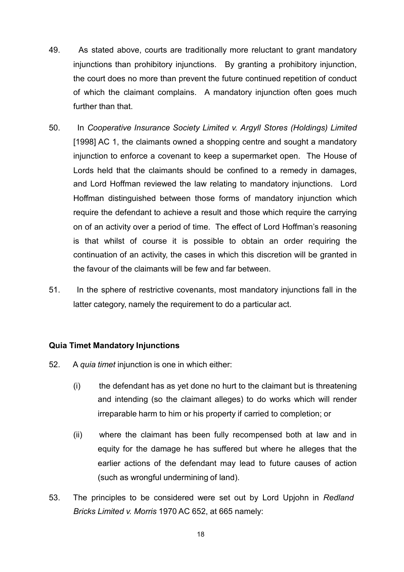- 49. As stated above, courts are traditionally more reluctant to grant mandatory injunctions than prohibitory injunctions. By granting a prohibitory injunction, the court does no more than prevent the future continued repetition of conduct of which the claimant complains. A mandatory injunction often goes much further than that.
- 50. In *Cooperative Insurance Society Limited v. Argyll Stores (Holdings) Limited*  [1998] AC 1, the claimants owned a shopping centre and sought a mandatory injunction to enforce a covenant to keep a supermarket open. The House of Lords held that the claimants should be confined to a remedy in damages, and Lord Hoffman reviewed the law relating to mandatory injunctions. Lord Hoffman distinguished between those forms of mandatory injunction which require the defendant to achieve a result and those which require the carrying on of an activity over a period of time. The effect of Lord Hoffman's reasoning is that whilst of course it is possible to obtain an order requiring the continuation of an activity, the cases in which this discretion will be granted in the favour of the claimants will be few and far between.
- 51. In the sphere of restrictive covenants, most mandatory injunctions fall in the latter category, namely the requirement to do a particular act.

#### **Quia Timet Mandatory Injunctions**

- 52. A *quia timet* injunction is one in which either:
	- (i) the defendant has as yet done no hurt to the claimant but is threatening and intending (so the claimant alleges) to do works which will render irreparable harm to him or his property if carried to completion; or
	- (ii) where the claimant has been fully recompensed both at law and in equity for the damage he has suffered but where he alleges that the earlier actions of the defendant may lead to future causes of action (such as wrongful undermining of land).
- 53. The principles to be considered were set out by Lord Upjohn in *Redland Bricks Limited v. Morris* 1970 AC 652, at 665 namely: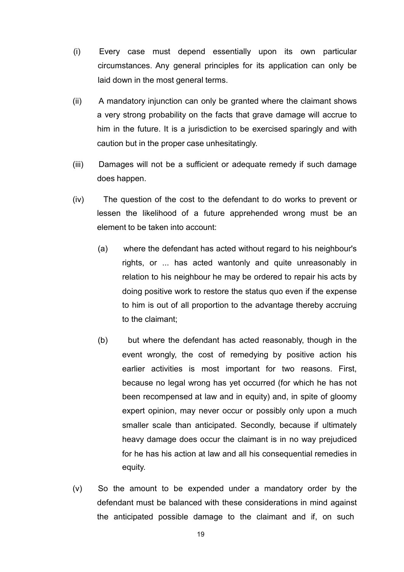- (i) Every case must depend essentially upon its own particular circumstances. Any general principles for its application can only be laid down in the most general terms.
- (ii) A mandatory injunction can only be granted where the claimant shows a very strong probability on the facts that grave damage will accrue to him in the future. It is a jurisdiction to be exercised sparingly and with caution but in the proper case unhesitatingly.
- (iii) Damages will not be a sufficient or adequate remedy if such damage does happen.
- (iv) The question of the cost to the defendant to do works to prevent or lessen the likelihood of a future apprehended wrong must be an element to be taken into account:
	- (a) where the defendant has acted without regard to his neighbour's rights, or ... has acted wantonly and quite unreasonably in relation to his neighbour he may be ordered to repair his acts by doing positive work to restore the status quo even if the expense to him is out of all proportion to the advantage thereby accruing to the claimant;
	- (b) but where the defendant has acted reasonably, though in the event wrongly, the cost of remedying by positive action his earlier activities is most important for two reasons. First, because no legal wrong has yet occurred (for which he has not been recompensed at law and in equity) and, in spite of gloomy expert opinion, may never occur or possibly only upon a much smaller scale than anticipated. Secondly, because if ultimately heavy damage does occur the claimant is in no way prejudiced for he has his action at law and all his consequential remedies in equity.
- (v) So the amount to be expended under a mandatory order by the defendant must be balanced with these considerations in mind against the anticipated possible damage to the claimant and if, on such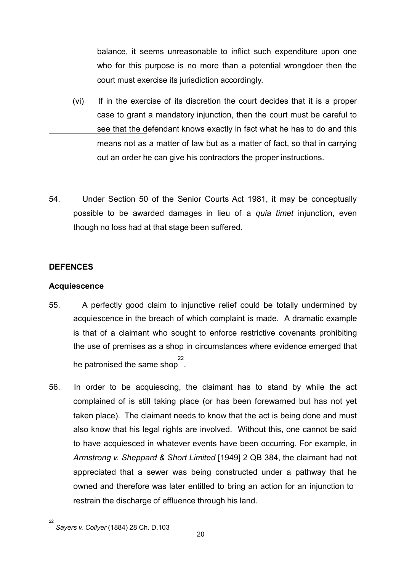balance, it seems unreasonable to inflict such expenditure upon one who for this purpose is no more than a potential wrongdoer then the court must exercise its jurisdiction accordingly.

- (vi) If in the exercise of its discretion the court decides that it is a proper case to grant a mandatory injunction, then the court must be careful to see that the defendant knows exactly in fact what he has to do and this means not as a matter of law but as a matter of fact, so that in carrying out an order he can give his contractors the proper instructions.
- 54. Under Section 50 of the Senior Courts Act 1981, it may be conceptually possible to be awarded damages in lieu of a *quia timet* injunction, even though no loss had at that stage been suffered.

#### **DEFENCES**

#### **Acquiescence**

- 55. A perfectly good claim to injunctive relief could be totally undermined by acquiescence in the breach of which complaint is made. A dramatic example is that of a claimant who sought to enforce restrictive covenants prohibiting the use of premises as a shop in circumstances where evidence emerged that he patronised the same shop . 22
- 56. In order to be acquiescing, the claimant has to stand by while the act complained of is still taking place (or has been forewarned but has not yet taken place). The claimant needs to know that the act is being done and must also know that his legal rights are involved. Without this, one cannot be said to have acquiesced in whatever events have been occurring. For example, in *Armstrong v. Sheppard & Short Limited* [1949] 2 QB 384, the claimant had not appreciated that a sewer was being constructed under a pathway that he owned and therefore was later entitled to bring an action for an injunction to restrain the discharge of effluence through his land.

<sup>22</sup> *Sayers v. Collyer* (1884) 28 Ch. D.103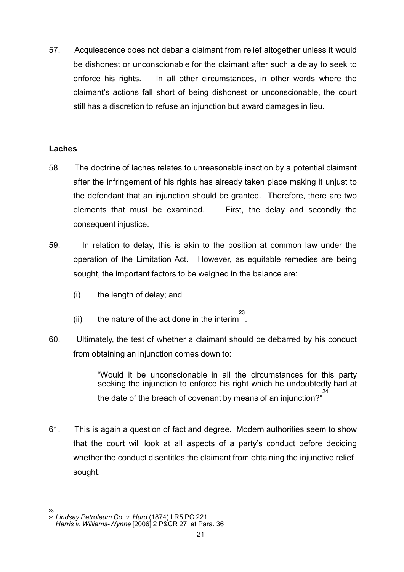57. Acquiescence does not debar a claimant from relief altogether unless it would be dishonest or unconscionable for the claimant after such a delay to seek to enforce his rights. In all other circumstances, in other words where the claimant's actions fall short of being dishonest or unconscionable, the court still has a discretion to refuse an injunction but award damages in lieu.

#### **Laches**

- 58. The doctrine of laches relates to unreasonable inaction by a potential claimant after the infringement of his rights has already taken place making it unjust to the defendant that an injunction should be granted. Therefore, there are two elements that must be examined. First, the delay and secondly the consequent injustice.
- 59. In relation to delay, this is akin to the position at common law under the operation of the Limitation Act. However, as equitable remedies are being sought, the important factors to be weighed in the balance are:
	- (i) the length of delay; and
	- (ii) the nature of the act done in the interim . 23
- 60. Ultimately, the test of whether a claimant should be debarred by his conduct from obtaining an injunction comes down to:

"Would it be unconscionable in all the circumstances for this party seeking the injunction to enforce his right which he undoubtedly had at the date of the breach of covenant by means of an injunction?" 24

61. This is again a question of fact and degree. Modern authorities seem to show that the court will look at all aspects of a party's conduct before deciding whether the conduct disentitles the claimant from obtaining the injunctive relief sought.

<sup>23</sup> <sup>24</sup> *Lindsay Petroleum Co. v. Hurd* (1874) LR5 PC 221 *Harris v. Williams-Wynne* [2006] 2 P&CR 27, at Para. 36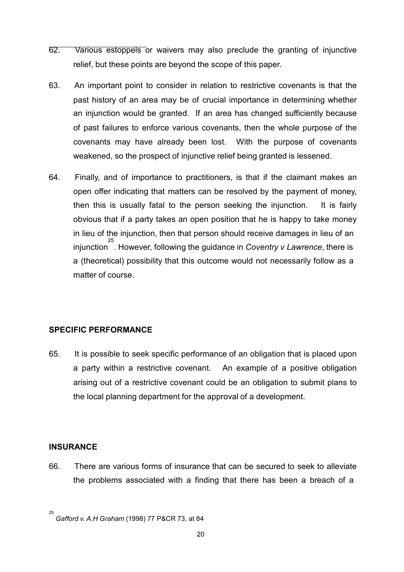- 62. Various estoppels or waivers may also preclude the granting of injunctive relief, but these points are beyond the scope of this paper.
- 63. An important point to consider in relation to restrictive covenants is that the past history of an area may be of crucial importance in determining whether an injunction would be granted. If an area has changed sufficiently because of past failures to enforce various covenants, then the whole purpose of the covenants may have already been lost. With the purpose of covenants weakened, so the prospect of injunctive relief being granted is lessened.
- 64. Finally, and of importance to practitioners, is that if the claimant makes an open offer indicating that matters can be resolved by the payment of money, then this is usually fatal to the person seeking the injunction. It is fairly obvious that if a party takes an open position that he is happy to take money in lieu of the injunction, then that person should receive damages in lieu of an injunction 25 . However, following the guidance in *Coventry v Lawrence*, there is a (theoretical) possibility that this outcome would not necessarily follow as a matter of course.

#### **SPECIFIC PERFORMANCE**

65. It is possible to seek specific performance of an obligation that is placed upon a party within a restrictive covenant. An example of a positive obligation arising out of a restrictive covenant could be an obligation to submit plans to the local planning department for the approval of a development.

#### **INSURANCE**

66. There are various forms of insurance that can be secured to seek to alleviate the problems associated with a finding that there has been a breach of a

<sup>25</sup> *Gafford v. A.H Graham* (1998) 77 P&CR 73, at 84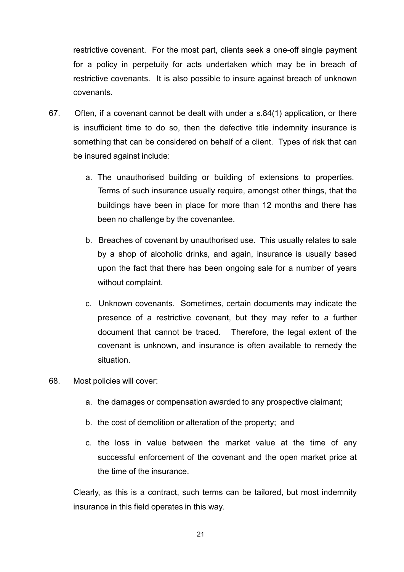restrictive covenant. For the most part, clients seek a one-off single payment for a policy in perpetuity for acts undertaken which may be in breach of restrictive covenants. It is also possible to insure against breach of unknown covenants.

- 67. Often, if a covenant cannot be dealt with under a s.84(1) application, or there is insufficient time to do so, then the defective title indemnity insurance is something that can be considered on behalf of a client. Types of risk that can be insured against include:
	- a. The unauthorised building or building of extensions to properties. Terms of such insurance usually require, amongst other things, that the buildings have been in place for more than 12 months and there has been no challenge by the covenantee.
	- b. Breaches of covenant by unauthorised use. This usually relates to sale by a shop of alcoholic drinks, and again, insurance is usually based upon the fact that there has been ongoing sale for a number of years without complaint.
	- c. Unknown covenants. Sometimes, certain documents may indicate the presence of a restrictive covenant, but they may refer to a further document that cannot be traced. Therefore, the legal extent of the covenant is unknown, and insurance is often available to remedy the situation.
- 68. Most policies will cover:
	- a. the damages or compensation awarded to any prospective claimant;
	- b. the cost of demolition or alteration of the property; and
	- c. the loss in value between the market value at the time of any successful enforcement of the covenant and the open market price at the time of the insurance.

Clearly, as this is a contract, such terms can be tailored, but most indemnity insurance in this field operates in this way.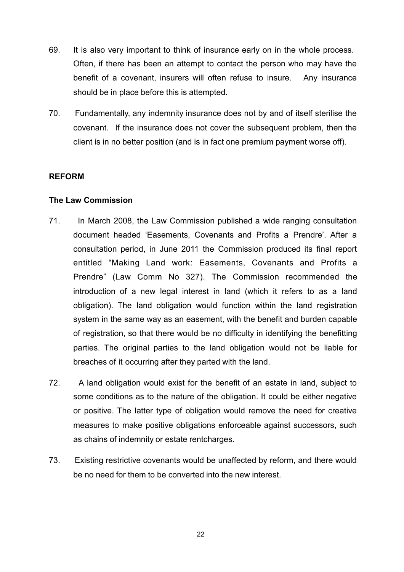- 69. It is also very important to think of insurance early on in the whole process. Often, if there has been an attempt to contact the person who may have the benefit of a covenant, insurers will often refuse to insure. Any insurance should be in place before this is attempted.
- 70. Fundamentally, any indemnity insurance does not by and of itself sterilise the covenant. If the insurance does not cover the subsequent problem, then the client is in no better position (and is in fact one premium payment worse off).

#### **REFORM**

#### **The Law Commission**

- 71. In March 2008, the Law Commission published a wide ranging consultation document headed 'Easements, Covenants and Profits a Prendre'. After a consultation period, in June 2011 the Commission produced its final report entitled "Making Land work: Easements, Covenants and Profits a Prendre" (Law Comm No 327). The Commission recommended the introduction of a new legal interest in land (which it refers to as a land obligation). The land obligation would function within the land registration system in the same way as an easement, with the benefit and burden capable of registration, so that there would be no difficulty in identifying the benefitting parties. The original parties to the land obligation would not be liable for breaches of it occurring after they parted with the land.
- 72. A land obligation would exist for the benefit of an estate in land, subject to some conditions as to the nature of the obligation. It could be either negative or positive. The latter type of obligation would remove the need for creative measures to make positive obligations enforceable against successors, such as chains of indemnity or estate rentcharges.
- 73. Existing restrictive covenants would be unaffected by reform, and there would be no need for them to be converted into the new interest.